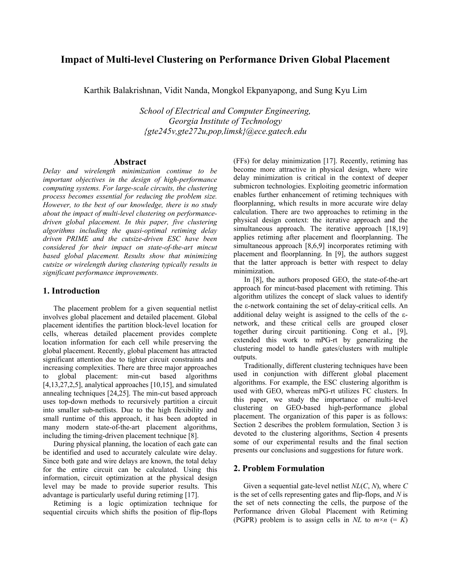# **Impact of Multi-level Clustering on Performance Driven Global Placement**

Karthik Balakrishnan, Vidit Nanda, Mongkol Ekpanyapong, and Sung Kyu Lim

*School of Electrical and Computer Engineering, Georgia Institute of Technology {gte245v,gte272u,pop,limsk}@ece.gatech.edu*

## **Abstract**

*Delay and wirelength minimization continue to be important objectives in the design of high-performance computing systems. For large-scale circuits, the clustering process becomes essential for reducing the problem size. However, to the best of our knowledge, there is no study about the impact of multi-level clustering on performancedriven global placement. In this paper, five clustering algorithms including the quasi-optimal retiming delay driven PRIME and the cutsize-driven ESC have been considered for their impact on state-of-the-art mincut based global placement. Results show that minimizing cutsize or wirelength during clustering typically results in significant performance improvements.* 

## **1. Introduction**

The placement problem for a given sequential netlist involves global placement and detailed placement. Global placement identifies the partition block-level location for cells, whereas detailed placement provides complete location information for each cell while preserving the global placement. Recently, global placement has attracted significant attention due to tighter circuit constraints and increasing complexities. There are three major approaches to global placement: min-cut based algorithms [4,13,27,2,5], analytical approaches [10,15], and simulated annealing techniques [24,25]. The min-cut based approach uses top-down methods to recursively partition a circuit into smaller sub-netlists. Due to the high flexibility and small runtime of this approach, it has been adopted in many modern state-of-the-art placement algorithms, including the timing-driven placement technique [8].

During physical planning, the location of each gate can be identified and used to accurately calculate wire delay. Since both gate and wire delays are known, the total delay for the entire circuit can be calculated. Using this information, circuit optimization at the physical design level may be made to provide superior results. This advantage is particularly useful during retiming [17].

Retiming is a logic optimization technique for sequential circuits which shifts the position of flip-flops (FFs) for delay minimization [17]. Recently, retiming has become more attractive in physical design, where wire delay minimization is critical in the context of deeper submicron technologies. Exploiting geometric information enables further enhancement of retiming techniques with floorplanning, which results in more accurate wire delay calculation. There are two approaches to retiming in the physical design context: the iterative approach and the simultaneous approach. The iterative approach [18,19] applies retiming after placement and floorplanning. The simultaneous approach [8,6,9] incorporates retiming with placement and floorplanning. In [9], the authors suggest that the latter approach is better with respect to delay minimization.

In [8], the authors proposed GEO, the state-of-the-art approach for mincut-based placement with retiming. This algorithm utilizes the concept of slack values to identify the ε-network containing the set of delay-critical cells. An additional delay weight is assigned to the cells of the εnetwork, and these critical cells are grouped closer together during circuit partitioning. Cong et al., [9], extended this work to mPG-rt by generalizing the clustering model to handle gates/clusters with multiple outputs.

Traditionally, different clustering techniques have been used in conjunction with different global placement algorithms. For example, the ESC clustering algorithm is used with GEO, whereas mPG-rt utilizes FC clusters. In this paper, we study the importance of multi-level clustering on GEO-based high-performance global placement. The organization of this paper is as follows: Section 2 describes the problem formulation, Section 3 is devoted to the clustering algorithms, Section 4 presents some of our experimental results and the final section presents our conclusions and suggestions for future work.

## **2. Problem Formulation**

Given a sequential gate-level netlist *NL*(*C*, *N*), where *C* is the set of cells representing gates and flip-flops, and *N* is the set of nets connecting the cells, the purpose of the Performance driven Global Placement with Retiming (PGPR) problem is to assign cells in *NL* to  $m \times n$  (= *K*)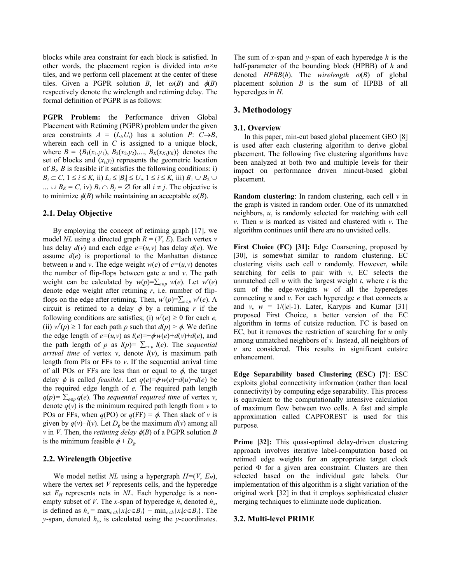blocks while area constraint for each block is satisfied. In other words, the placement region is divided into *m*×*n*  tiles, and we perform cell placement at the center of these tiles. Given a PGPR solution *B*, let  $\omega(B)$  and  $\phi(B)$ respectively denote the wirelength and retiming delay. The formal definition of PGPR is as follows:

**PGPR Problem:** the Performance driven Global Placement with Retiming (PGPR) problem under the given area constraints  $A = (L_i, U_i)$  has a solution  $P: C \rightarrow B$ , wherein each cell in *C* is assigned to a unique block, where  $B = \{B_1(x_1,y_1), B_2(x_2,y_2),..., B_K(x_K,y_K)\}\)$  denotes the set of blocks and  $(x_i, y_i)$  represents the geometric location of  $B_i$ . *B* is feasible if it satisfies the following conditions: i) *B<sub>i</sub>* ⊂ *C*,  $1 \le i \le K$ , ii)  $L_i \le |B_i| \le U_i$ ,  $1 \le i \le K$ , iii)  $B_1 \cup B_2 \cup$ ... ∪  $B_K = C$ , iv)  $B_i \cap B_j = \emptyset$  for all  $i \neq j$ . The objective is to minimize  $\phi(B)$  while maintaining an acceptable  $\omega(B)$ .

### **2.1. Delay Objective**

By employing the concept of retiming graph [17], we model *NL* using a directed graph  $R = (V, E)$ . Each vertex *v* has delay  $d(v)$  and each edge  $e=(u,v)$  has delay  $d(e)$ . We assume  $d(e)$  is proportional to the Manhattan distance between *u* and *v*. The edge weight  $w(e)$  of  $e=(u,v)$  denotes the number of flip-flops between gate *u* and *v*. The path weight can be calculated by  $w(p) = \sum_{e \in p} w(e)$ . Let  $w'(e)$ denote edge weight after retiming *r*, i.e. number of flipflops on the edge after retiming. Then,  $w'(p) = \sum_{e \in p} w'(e)$ . A circuit is retimed to a delay  $\phi$  by a retiming r if the following conditions are satisfies; (i)  $w'(e) \ge 0$  for each *e*, (ii)  $w'(p) \ge 1$  for each path *p* such that  $d(p) > \phi$ . We define the edge length of  $e=(u,v)$  as  $l(e)=-\phi w(e)+d(v)+d(e)$ , and the path length of *p* as  $l(p) = \sum_{e \in p} l(e)$ . The *sequential arrival time* of vertex *v*, denote  $\hat{I}(v)$ , is maximum path length from PIs or FFs to *v*. If the sequential arrival time of all POs or FFs are less than or equal to  $\phi$ , the target delay  $\phi$  is called *feasible*. Let  $q(e) = \phi w(e) - d(u) - d(e)$  be the required edge length of *e.* The required path length  $q(p) = \sum_{e \in p} q(e)$ . The *sequential required time* of vertex *v*, denote  $q(v)$  is the minimum required path length from  $v$  to POs or FFs, when  $q(PO)$  or  $q(FF) = \phi$ . Then slack of *v* is given by  $q(v)$ −*l*(*v*). Let  $D<sub>g</sub>$  be the maximum  $d(v)$  among all *v* in *V*. Then, the *retiming delay*  $\phi$ (*B*) of a PGPR solution *B* is the minimum feasible  $\phi + D_g$ .

## **2.2. Wirelength Objective**

We model netlist *NL* using a hypergraph  $H=(V, E_H)$ , where the vertex set *V* represents cells, and the hyperedge set  $E_H$  represents nets in *NL*. Each hyperedge is a nonempty subset of *V*. The *x*-span of hyperedge  $h$ , denoted  $h_x$ , is defined as  $h_x = \max_{c \in h} \{x_i | c \in B_i\} - \min_{c \in h} \{x_i | c \in B_i\}$ . The *y*-span, denoted *hy*, is calculated using the *y*-coordinates.

The sum of *x*-span and *y*-span of each hyperedge *h* is the half-parameter of the bounding block (HPBB) of *h* and denoted *HPBB*(*h*). The *wirelength* <sup>ω</sup>(*B*) of global placement solution *B* is the sum of HPBB of all hyperedges in *H*.

## **3. Methodology**

#### **3.1. Overview**

In this paper, min-cut based global placement GEO [8] is used after each clustering algorithm to derive global placement. The following five clustering algorithms have been analyzed at both two and multiple levels for their impact on performance driven mincut-based global placement.

**Random clustering**: In random clustering, each cell *v* in the graph is visited in random order. One of its unmatched neighbors, *u*, is randomly selected for matching with cell *v.* Then *u* is marked as visited and clustered with *v*. The algorithm continues until there are no unvisited cells.

**First Choice (FC) [31]:** Edge Coarsening, proposed by [30], is somewhat similar to random clustering. EC clustering visits each cell *v* randomly. However, while searching for cells to pair with  $v$ , EC selects the unmatched cell *u* with the largest weight *t*, where *t* is the sum of the edge-weights *w* of all the hyperedges connecting *u* and *v*. For each hyperedge *e* that connects *u* and *v*,  $w = 1/(|e|-1)$ . Later, Karypis and Kumar [31] proposed First Choice, a better version of the EC algorithm in terms of cutsize reduction. FC is based on EC, but it removes the restriction of searching for *u* only among unmatched neighbors of *v.* Instead, all neighbors of *v* are considered. This results in significant cutsize enhancement.

**Edge Separability based Clustering (ESC) [7]**: ESC exploits global connectivity information (rather than local connectivity) by computing edge separability. This process is equivalent to the computationally intensive calculation of maximum flow between two cells. A fast and simple approximation called CAPFOREST is used for this purpose.

Prime [32]: This quasi-optimal delay-driven clustering approach involves iterative label-computation based on retimed edge weights for an appropriate target clock period Φ for a given area constraint. Clusters are then selected based on the individual gate labels. Our implementation of this algorithm is a slight variation of the original work [32] in that it employs sophisticated cluster merging techniques to eliminate node duplication.

## **3.2. Multi-level PRIME**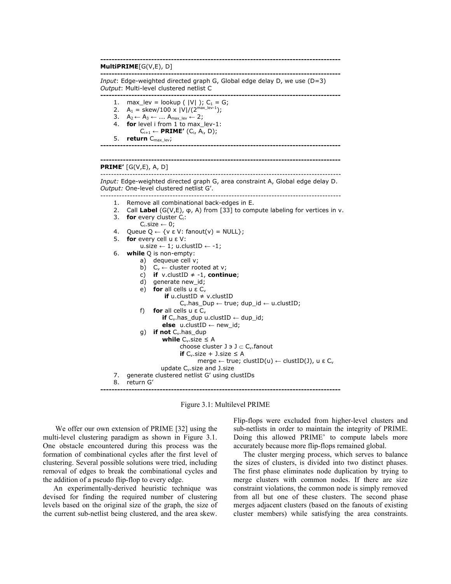#### **------------------------------------------------------------------------------------- MultiPRIME**[G(V,E), D] **-------------------------------------------------------------------------------------**  *Input*: Edge-weighted directed graph G, Global edge delay D, we use (D=3) *Output*: Multi-level clustered netlist C **-------------------------------------------------------------------------------------** 1. max\_lev = lookup ( $|V|$ ); C<sub>1</sub> = G; 2.  $A_1 = \frac{\text{skew}}{100 \times |V|}{2^{\text{max\_lev-1}}};$ 3.  $A_2 \leftarrow A_3 \leftarrow ... A_{max\_lev} \leftarrow 2;$ 4. **for** level i from 1 to max\_lev-1:  $C_{i+1} \leftarrow \textbf{PRIME}'$  (C<sub>i</sub>, A<sub>i</sub>, D); 5. **return** C<sub>max\_lev</sub>; **------------------------------------------------------------------------------------- ------------------------------------------------------------------------------------- PRIME'** [G(V,E), A, D] ------------------------------------------------------------------------------------------ *Input:* Edge-weighted directed graph G, area constraint A, Global edge delay D. *Output:* One-level clustered netlist G'. ------------------------------------------------------------------------------------------ 1. Remove all combinational back-edges in E. 2. Call **Label** (G(V,E), φ, A) from [33] to compute labeling for vertices in v. 3. **for** every cluster Ci:  $C_i.size \leftarrow 0;$ 4. Queue  $Q \leftarrow \{v \in V: \text{fanout}(v) = NULL\};$ 5. **for** every cell u ε V: u.size ← 1; u.clustID ← -1; 6. **while** Q is non-empty: a) dequeue cell v; b)  $C_v \leftarrow$  cluster rooted at v; c) **if**  $v$ .clustID  $\neq -1$ , **continue**; d) generate new id; e) **for** all cells u ε  $C_v$ **if** u.clustID ≠ v.clustID  $C_v$ .has\_Dup ← true; dup\_id ← u.clustID; f) **for** all cells  $u \in C_v$ **if** Cv.has\_dup u.clustID ← dup\_id; **else** u.clustID ← new\_id; g) **if not** C<sub>v</sub>.has\_dup **while**  $C_v$  size  $\leq A$ choose cluster  $J \ni J \subset C_{\nu}$ . fanout **if**  $C_v$  size + J. size  $\leq A$  $merge \leftarrow true$ ; clustID(u)  $\leftarrow$  clustID(J), u ε C<sub>ν</sub> update C<sub>v</sub>.size and J.size 7. generate clustered netlist G' using clustIDs 8. return G' **-------------------------------------------------------------------------------------**

Figure 3.1: Multilevel PRIME

We offer our own extension of PRIME [32] using the multi-level clustering paradigm as shown in Figure 3.1. One obstacle encountered during this process was the formation of combinational cycles after the first level of clustering. Several possible solutions were tried, including removal of edges to break the combinational cycles and the addition of a pseudo flip-flop to every edge.

An experimentally-derived heuristic technique was devised for finding the required number of clustering levels based on the original size of the graph, the size of the current sub-netlist being clustered, and the area skew.

Flip-flops were excluded from higher-level clusters and sub-netlists in order to maintain the integrity of PRIME. Doing this allowed PRIME' to compute labels more accurately because more flip-flops remained global.

The cluster merging process, which serves to balance the sizes of clusters, is divided into two distinct phases. The first phase eliminates node duplication by trying to merge clusters with common nodes. If there are size constraint violations, the common node is simply removed from all but one of these clusters. The second phase merges adjacent clusters (based on the fanouts of existing cluster members) while satisfying the area constraints.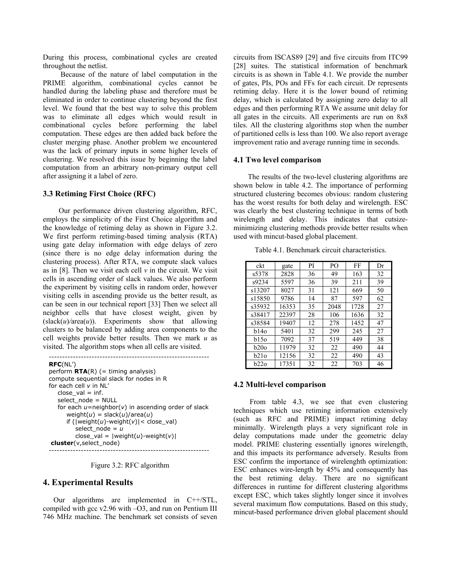During this process, combinational cycles are created throughout the netlist.

Because of the nature of label computation in the PRIME algorithm, combinational cycles cannot be handled during the labeling phase and therefore must be eliminated in order to continue clustering beyond the first level. We found that the best way to solve this problem was to eliminate all edges which would result in combinational cycles before performing the label computation. These edges are then added back before the cluster merging phase. Another problem we encountered was the lack of primary inputs in some higher levels of clustering. We resolved this issue by beginning the label computation from an arbitrary non-primary output cell after assigning it a label of zero.

## **3.3 Retiming First Choice (RFC)**

 Our performance driven clustering algorithm, RFC, employs the simplicity of the First Choice algorithm and the knowledge of retiming delay as shown in Figure 3.2. We first perform retiming-based timing analysis (RTA) using gate delay information with edge delays of zero (since there is no edge delay information during the clustering process). After RTA, we compute slack values as in [8]. Then we visit each cell *v* in the circuit. We visit cells in ascending order of slack values. We also perform the experiment by visiting cells in random order, however visiting cells in ascending provide us the better result, as can be seen in our technical report [33] Then we select all neighbor cells that have closest weight, given by  $(slack(u)/area(u))$ . Experiments show that allowing clusters to be balanced by adding area components to the cell weights provide better results. Then we mark *u* as visited. The algorithm stops when all cells are visited.

```
------------------------------------------------------------
RFC(NL')
perform \mathsf{RTA}(R) (= timing analysis)
compute sequential slack for nodes in R 
for each cell v in NL' 
   close\_val = inf.select_node = NULL
    for each u=neighbor(v) in ascending order of slack 
       weight(u) = slack(u)/area(u) 
      if (|weight(u)-weight(v)|< close_val)
         select node = 
         close val = |weight(u)-weight(v)|
cluster(v,select_node)
------------------------------------------------------------
```
Figure 3.2: RFC algorithm

## **4. Experimental Results**

Our algorithms are implemented in C++/STL, compiled with gcc v2.96 with –O3, and run on Pentium III 746 MHz machine. The benchmark set consists of seven

circuits from ISCAS89 [29] and five circuits from ITC99 [28] suites. The statistical information of benchmark circuits is as shown in Table 4.1. We provide the number of gates, PIs, POs and FFs for each circuit. Dr represents retiming delay. Here it is the lower bound of retiming delay, which is calculated by assigning zero delay to all edges and then performing RTA We assume unit delay for all gates in the circuits. All experiments are run on 8x8 tiles. All the clustering algorithms stop when the number of partitioned cells is less than 100. We also report average improvement ratio and average running time in seconds.

### **4.1 Two level comparison**

 The results of the two-level clustering algorithms are shown below in table 4.2. The importance of performing structured clustering becomes obvious: random clustering has the worst results for both delay and wirelength. ESC was clearly the best clustering technique in terms of both wirelength and delay. This indicates that cutsizeminimizing clustering methods provide better results when used with mincut-based global placement.

Table 4.1. Benchmark circuit characteristics.

| ckt    | gate  | PI | PO.  | FF   | Dr |
|--------|-------|----|------|------|----|
| s5378  | 2828  | 36 | 49   | 163  | 32 |
| s9234  | 5597  | 36 | 39   | 211  | 39 |
| s13207 | 8027  | 31 | 121  | 669  | 50 |
| s15850 | 9786  | 14 | 87   | 597  | 62 |
| s35932 | 16353 | 35 | 2048 | 1728 | 27 |
| s38417 | 22397 | 28 | 106  | 1636 | 32 |
| s38584 | 19407 | 12 | 278  | 1452 | 47 |
| b140   | 5401  | 32 | 299  | 245  | 27 |
| b150   | 7092  | 37 | 519  | 449  | 38 |
| b200   | 11979 | 32 | 22   | 490  | 44 |
| b210   | 12156 | 32 | 22   | 490  | 43 |
| b22o   | 17351 | 32 | 22   | 703  | 46 |

## **4.2 Multi-level comparison**

From table 4.3, we see that even clustering techniques which use retiming information extensively (such as RFC and PRIME) impact retiming delay minimally. Wirelength plays a very significant role in delay computations made under the geometric delay model. PRIME clustering essentially ignores wirelength, and this impacts its performance adversely. Results from ESC confirm the importance of wirelenghth optimization: ESC enhances wire-length by 45% and consequently has the best retiming delay. There are no significant differences in runtime for different clustering algorithms except ESC, which takes slightly longer since it involves several maximum flow computations. Based on this study, mincut-based performance driven global placement should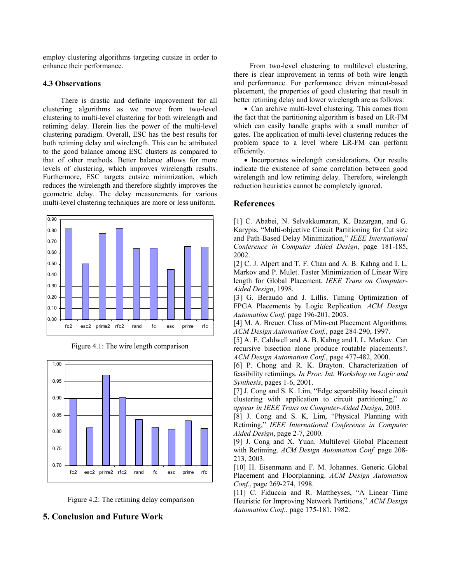employ clustering algorithms targeting cutsize in order to enhance their performance.

#### **4.3 Observations**

There is drastic and definite improvement for all clustering algorithms as we move from two-level clustering to multi-level clustering for both wirelength and retiming delay. Herein lies the power of the multi-level clustering paradigm. Overall, ESC has the best results for both retiming delay and wirelength. This can be attributed to the good balance among ESC clusters as compared to that of other methods. Better balance allows for more levels of clustering, which improves wirelength results. Furthermore, ESC targets cutsize minimization, which reduces the wirelength and therefore slightly improves the geometric delay. The delay measurements for various multi-level clustering techniques are more or less uniform.







Figure 4.2: The retiming delay comparison

## **5. Conclusion and Future Work**

From two-level clustering to multilevel clustering, there is clear improvement in terms of both wire length and performance. For performance driven mincut-based placement, the properties of good clustering that result in better retiming delay and lower wirelength are as follows:

• Can archive multi-level clustering. This comes from the fact that the partitioning algorithm is based on LR-FM which can easily handle graphs with a small number of gates. The application of multi-level clustering reduces the problem space to a level where LR-FM can perform efficiently.

• Incorporates wirelength considerations. Our results indicate the existence of some correlation between good wirelength and low retiming delay. Therefore, wirelength reduction heuristics cannot be completely ignored.

## **References**

[1] C. Ababei, N. Selvakkumaran, K. Bazargan, and G. Karypis, "Multi-objective Circuit Partitioning for Cut size and Path-Based Delay Minimization," *IEEE International Conference in Computer Aided Design*, page 181-185, 2002.

[2] C. J. Alpert and T. F. Chan and A. B. Kahng and I. L. Markov and P. Mulet. Faster Minimization of Linear Wire length for Global Placement. *IEEE Trans on Computer-Aided Design*, 1998.

[3] G. Beraudo and J. Lillis. Timing Optimization of FPGA Placements by Logic Replication. *ACM Design Automation Conf.* page 196-201, 2003.

[4] M. A. Breuer. Class of Min-cut Placement Algorithms. *ACM Design Automation Conf.*, page 284-290, 1997.

[5] A. E. Caldwell and A. B. Kahng and I. L. Markov. Can recursive bisection alone produce routable placements?. *ACM Design Automation Conf.*, page 477-482, 2000.

[6] P. Chong and R. K. Brayton. Characterization of feasibility retimiings. *In Proc. Int. Workshop on Logic and Synthesis*, pages 1-6, 2001.

[7] J. Cong and S. K. Lim, "Edge separability based circuit clustering with application to circuit partitioning," *to appear in IEEE Trans on Computer-Aided Design*, 2003.

[8] J. Cong and S. K. Lim, "Physical Planning with Retiming," *IEEE International Conference in Computer Aided Design*, page 2-7, 2000.

[9] J. Cong and X. Yuan. Multilevel Global Placement with Retiming. *ACM Design Automation Conf.* page 208- 213, 2003.

[10] H. Eisenmann and F. M. Johannes. Generic Global Placement and Floorplanning. *ACM Design Automation Conf.*, page 269-274, 1998.

[11] C. Fiduccia and R. Mattheyses, "A Linear Time Heuristic for Improving Network Partitions," *ACM Design Automation Conf.*, page 175-181, 1982.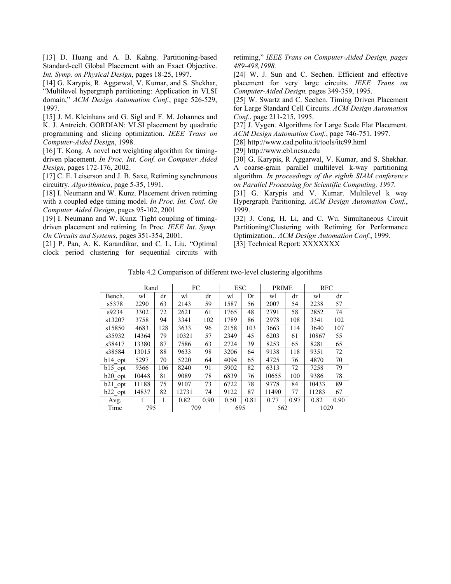[13] D. Huang and A. B. Kahng. Partitioning-based Standard-cell Global Placement with an Exact Objective. *Int. Symp. on Physical Design*, pages 18-25, 1997.

[14] G. Karypis, R. Aggarwal, V. Kumar, and S. Shekhar, "Multilevel hypergraph partitioning: Application in VLSI domain," *ACM Design Automation Conf.*, page 526-529, 1997.

[15] J. M. Kleinhans and G. Sigl and F. M. Johannes and K. J. Antreich. GORDIAN: VLSI placement by quadratic programming and slicing optimization. *IEEE Trans on Computer-Aided Design*, 1998.

[16] T. Kong. A novel net weighting algorithm for timingdriven placement. *In Proc. Int. Conf. on Computer Aided Design*, pages 172-176, 2002.

[17] C. E. Leiserson and J. B. Saxe, Retiming synchronous circuitry. *Algorithmica*, page 5-35, 1991.

[18] I. Neumann and W. Kunz. Placement driven retiming with a coupled edge timing model. *In Proc. Int. Conf. On Computer Aided Design*, pages 95-102, 2001

[19] I. Neumann and W. Kunz. Tight coupling of timingdriven placement and retiming. In Proc. *IEEE Int. Symp. On Circuits and Systems*, pages 351-354, 2001.

[21] P. Pan, A. K. Karandikar, and C. L. Liu, "Optimal clock period clustering for sequential circuits with retiming," *IEEE Trans on Computer-Aided Design, pages 489-498,1998.*

[24] W. J. Sun and C. Sechen. Efficient and effective placement for very large circuits. *IEEE Trans on Computer-Aided Design,* pages 349-359, 1995.

[25] W. Swartz and C. Sechen. Timing Driven Placement for Large Standard Cell Circuits. *ACM Design Automation Conf.*, page 211-215, 1995.

[27] J. Vygen. Algorithms for Large Scale Flat Placement. *ACM Design Automation Conf.*, page 746-751, 1997.

[28] http://www.cad.polito.it/tools/itc99.html

[29] http://www.cbl.ncsu.edu

[30] G. Karypis, R Aggarwal, V. Kumar, and S. Shekhar. A coarse-grain parallel multilevel k-way partitioning algorithm. *In proceedings of the eighth SIAM conference on Parallel Processing for Scientific Computing, 1997.*

[31] G. Karypis and V. Kumar. Multilevel k way Hypergraph Paritioning. *ACM Design Automation Conf.*, 1999.

[32] J. Cong, H. Li, and C. Wu. Simultaneous Circuit Partitioning/Clustering with Retiming for Performance Optimization.. *ACM Design Automation Conf.*, 1999. [33] Technical Report: XXXXXXX

Table 4.2 Comparison of different two-level clustering algorithms

|             | Rand  |     | FC    |      | <b>ESC</b> |      | <b>PRIME</b> |      | <b>RFC</b> |      |
|-------------|-------|-----|-------|------|------------|------|--------------|------|------------|------|
| Bench.      | wl    | dr  | wl    | dr   | wl         | Dr   | wl           | dr   | wl         | dr   |
| s5378       | 2290  | 63  | 2143  | 59   | 1587       | 56   | 2007         | 54   | 2238       | 57   |
| s9234       | 3302  | 72  | 2621  | 61   | 1765       | 48   | 2791         | 58   | 2852       | 74   |
| s13207      | 3758  | 94  | 3341  | 102  | 1789       | 86   | 2978         | 108  | 3341       | 102  |
| s15850      | 4683  | 128 | 3633  | 96   | 2158       | 103  | 3663         | 114  | 3640       | 107  |
| s35932      | 14364 | 79  | 10321 | 57   | 2349       | 45   | 6203         | 61   | 10867      | 55   |
| s38417      | 13380 | 87  | 7586  | 63   | 2724       | 39   | 8253         | 65   | 8281       | 65   |
| s38584      | 13015 | 88  | 9633  | 98   | 3206       | 64   | 9138         | 118  | 9351       | 72   |
| b14 opt     | 5297  | 70  | 5220  | 64   | 4094       | 65   | 4725         | 76   | 4870       | 70   |
| b15 opt     | 9366  | 106 | 8240  | 91   | 5902       | 82   | 6313         | 72   | 7258       | 79   |
| b20<br>opt  | 10448 | 81  | 9089  | 78   | 6839       | 76   | 10655        | 100  | 9386       | 78   |
| b21<br>opt  | 11188 | 75  | 9107  | 73   | 6722       | 78   | 9778         | 84   | 10433      | 89   |
| $b22$ opt   | 14837 | 82  | 12731 | 74   | 9122       | 87   | 11490        | 77   | 11283      | 67   |
| Avg.        |       |     | 0.82  | 0.90 | 0.50       | 0.81 | 0.77         | 0.97 | 0.82       | 0.90 |
| 795<br>Time |       | 709 |       | 695  |            | 562  |              | 1029 |            |      |